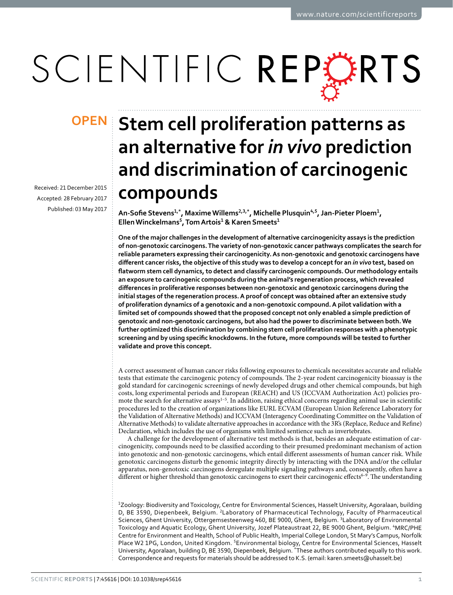# SCIENTIFIC REPERTS

Received: 21 December 2015 accepted: 28 February 2017 Published: 03 May 2017

## **Stem cell proliferation patterns as OPENan alternative for** *in vivo* **prediction and discrimination of carcinogenic compounds**

**An-Sofie Stevens<sup>1</sup>,\*, MaximeWillems2,3,\*, Michelle Plusquin<sup>4</sup>,<sup>5</sup>, Jan-Pieter Ploem<sup>1</sup>, EllenWinckelmans<sup>5</sup>, TomArtois<sup>1</sup> & Karen Smeets<sup>1</sup>**

**One of the major challenges in the development of alternative carcinogenicity assays is the prediction of non-genotoxic carcinogens. The variety of non-genotoxic cancer pathways complicates the search for reliable parameters expressing their carcinogenicity. As non-genotoxic and genotoxic carcinogens have different cancer risks,the objective ofthis study was to develop a conceptfor an** *in vivo* **test, based on flatworm stem cell dynamics,to detect and classify carcinogenic compounds.Our methodology entails an exposure to carcinogenic compounds during the animal's regeneration process, which revealed differences in proliferative responses between non-genotoxic and genotoxic carcinogens during the initial stages of the regeneration process. A proof of concept was obtained after an extensive study of proliferation dynamics of a genotoxic and a non-genotoxic compound. A pilot validation with a limited set of compounds showed that the proposed concept not only enabled a simple prediction of genotoxic and non-genotoxic carcinogens, but also had the power to discriminate between both. We further optimized this discrimination by combining stem cell proliferation responses with a phenotypic screening and by using specific knockdowns. In the future, more compounds will be tested to further validate and prove this concept.**

A correct assessment of human cancer risks following exposures to chemicals necessitates accurate and reliable tests that estimate the carcinogenic potency of compounds. The 2-year rodent carcinogenicity bioassay is the gold standard for carcinogenic screenings of newly developed drugs and other chemical compounds, but high costs, long experimental periods and European (REACH) and US (ICCVAM Authorization Act) policies promote the search for alternative assays<sup>1-5</sup>. In addition, raising ethical concerns regarding animal use in scientific procedures led to the creation of organizations like EURL ECVAM (European Union Reference Laboratory for the Validation of Alternative Methods) and ICCVAM (Interagency Coordinating Committee on the Validation of Alternative Methods) to validate alternative approaches in accordance with the 3R's (Replace, Reduce and Refine) Declaration, which includes the use of organisms with limited sentience such as invertebrates.

A challenge for the development of alternative test methods is that, besides an adequate estimation of carcinogenicity, compounds need to be classified according to their presumed predominant mechanism of action into genotoxic and non-genotoxic carcinogens, which entail different assessments of human cancer risk. While genotoxic carcinogens disturb the genomic integrity directly by interacting with the DNA and/or the cellular apparatus, non-genotoxic carcinogens deregulate multiple signaling pathways and, consequently, often have a different or higher threshold than genotoxic carcinogens to exert their carcinogenic effects<sup>6-9</sup>. The understanding

1 Zoology: Biodiversity and Toxicology, Centre for Environmental Sciences, Hasselt University, Agoralaan, building D, BE 3590, Diepenbeek, Belgium. 2Laboratory of Pharmaceutical Technology, Faculty of Pharmaceutical Sciences, Ghent University, Ottergemsesteenweg 460, BE 9000, Ghent, Belgium. 3Laboratory of Environmental Toxicology and Aquatic Ecology, Ghent University, Jozef Plateaustraat 22, BE 9000 Ghent, Belgium. 4MRC/PHE Centre for Environment and Health, School of Public Health, Imperial College London, St Mary's Campus, Norfolk Place W2 1PG, London, United Kingdom. <sup>5</sup>Environmental biology, Centre for Environmental Sciences, Hasselt University, Agoralaan, building D, BE 3590, Diepenbeek, Belgium. \*These authors contributed equally to this work. Correspondence and requests for materials should be addressed to K.S. (email: [karen.smeets@uhasselt.be](mailto:karen.smeets@uhasselt.be))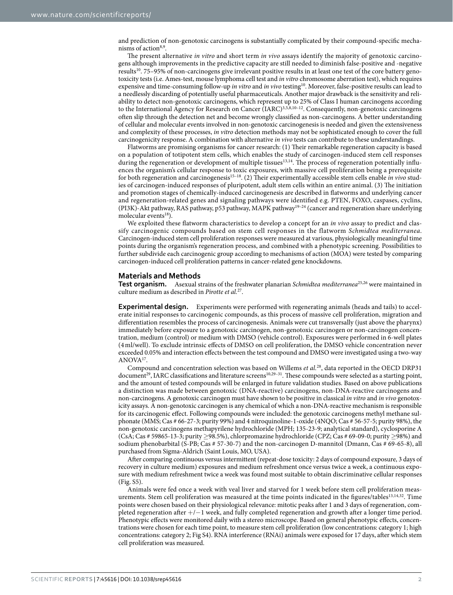and prediction of non-genotoxic carcinogens is substantially complicated by their compound-specific mecha-nisms of action<sup>8[,9](#page-8-3)</sup>.

The present alternative *in vitro* and short term *in vivo* assays identify the majority of genotoxic carcinogens although improvements in the predictive capacity are still needed to diminish false-positive and -negative results<sup>10</sup>. 75–95% of non-carcinogens give irrelevant positive results in at least one test of the core battery genotoxicity tests (i.e. Ames-test, mouse lymphoma cell test and *in vitro* chromosome aberration test), which requires expensive and time-consuming follow-up *in vitro* and *in vivo* testing[10](#page-8-4). Moreover, false-positive results can lead to a needlessly discarding of potentially useful pharmaceuticals. Another major drawback is the sensitivity and reliability to detect non-genotoxic carcinogens, which represent up to 25% of Class I human carcinogens according to the International Agency for Research on Cancer (IARC)<sup>3,[5,](#page-8-6)[8,](#page-8-2)10-12</sup>. Consequently, non-genotoxic carcinogens often slip through the detection net and become wrongly classified as non-carcinogens. A better understanding of cellular and molecular events involved in non-genotoxic carcinogenesis is needed and given the extensiveness and complexity of these processes, *in vitro* detection methods may not be sophisticated enough to cover the full carcinogenicity response. A combination with alternative *in vivo* tests can contribute to these understandings.

Flatworms are promising organisms for cancer research: (1) Their remarkable regeneration capacity is based on a population of totipotent stem cells, which enables the study of carcinogen-induced stem cell responses during the regeneration or development of multiple tissues<sup>[13,](#page-8-7)14</sup>. The process of regeneration potentially influences the organism's cellular response to toxic exposures, with massive cell proliferation being a prerequisite for both regeneration and carcinogenesis[15–18.](#page-8-9) (2) Their experimentally accessible stem cells enable *in vivo* studies of carcinogen-induced responses of pluripotent, adult stem cells within an entire animal. (3) The initiation and promotion stages of chemically-induced carcinogenesis are described in flatworms and underlying cancer and regeneration-related genes and signaling pathways were identified e.g. PTEN, FOXO, caspases, cyclins, (PI3K)-Akt pathway, RAS pathway, p53 pathway, MAPK pathway[19–24](#page-8-10) (cancer and regeneration share underlying molecular events $18$ ).

We exploited these flatworm characteristics to develop a concept for an *in vivo* assay to predict and classify carcinogenic compounds based on stem cell responses in the flatworm *Schmidtea mediterranea*. Carcinogen-induced stem cell proliferation responses were measured at various, physiologically meaningful time points during the organism's regeneration process, and combined with a phenotypic screening. Possibilities to further subdivide each carcinogenic group according to mechanisms of action (MOA) were tested by comparing carcinogen-induced cell proliferation patterns in cancer-related gene knockdowns.

#### **Materials and Methods**

**Test organism.** Asexual strains of the freshwater planarian *Schmidtea mediterranea*[25](#page-8-12),[26](#page-8-13) were maintained in culture medium as described in *Pirotte et al.*[27.](#page-8-14)

**Experimental design.** Experiments were performed with regenerating animals (heads and tails) to accelerate initial responses to carcinogenic compounds, as this process of massive cell proliferation, migration and differentiation resembles the process of carcinogenesis. Animals were cut transversally (just above the pharynx) immediately before exposure to a genotoxic carcinogen, non-genotoxic carcinogen or non-carcinogen concentration, medium (control) or medium with DMSO (vehicle control). Exposures were performed in 6-well plates (4 ml/well). To exclude intrinsic effects of DMSO on cell proliferation, the DMSO vehicle concentration never exceeded 0.05% and interaction effects between the test compound and DMSO were investigated using a two-way ANOV[A17](#page-8-15).

Compound and concentration selection was based on Willems *et al.*[28](#page-8-16), data reported in the OECD DRP31 document<sup>29</sup>, IARC classifications and literature screens<sup>[10](#page-8-4),29-31</sup>. These compounds were selected as a starting point, and the amount of tested compounds will be enlarged in future validation studies. Based on above publications a distinction was made between genotoxic (DNA-reactive) carcinogens, non-DNA-reactive carcinogens and non-carcinogens. A genotoxic carcinogen must have shown to be positive in classical *in vitro* and *in vivo* genotoxicity assays. A non-genotoxic carcinogen is any chemical of which a non-DNA-reactive mechanism is responsible for its carcinogenic effect. Following compounds were included: the genotoxic carcinogens methyl methane sulphonate (MMS; Cas # 66-27-3; purity 99%) and 4 nitroquinoline-1-oxide (4NQO; Cas # 56-57-5; purity 98%), the non-genotoxic carcinogens methapyrilene hydrochloride (MPH; 135-23-9; analytical standard), cyclosporine A (CsA; Cas # 59865-13-3; purity ≥98.5%), chlorpromazine hydrochloride (CPZ; Cas # 69-09-0; purity ≥98%) and sodium phenobarbital (S-PB; Cas # 57-30-7) and the non-carcinogen D-mannitol (Dmann, Cas # 69-65-8), all purchased from Sigma-Aldrich (Saint Louis, MO, USA).

After comparing continuous versus intermittent (repeat-dose toxicity: 2 days of compound exposure, 3 days of recovery in culture medium) exposures and medium refreshment once versus twice a week, a continuous exposure with medium refreshment twice a week was found most suitable to obtain discriminative cellular responses (Fig. S5).

Animals were fed once a week with veal liver and starved for 1 week before stem cell proliferation meas-urements. Stem cell proliferation was measured at the time points indicated in the figures/tables<sup>[13,](#page-8-7)[14,](#page-8-8)32</sup>. Time points were chosen based on their physiological relevance: mitotic peaks after 1 and 3 days of regeneration, completed regeneration after +/−1 week, and fully completed regeneration and growth after a longer time period. Phenotypic effects were monitored daily with a stereo microscope. Based on general phenotypic effects, concentrations were chosen for each time point, to measure stem cell proliferation (low concentrations: category 1; high concentrations: category 2; Fig S4). RNA interference (RNAi) animals were exposed for 17 days, after which stem cell proliferation was measured.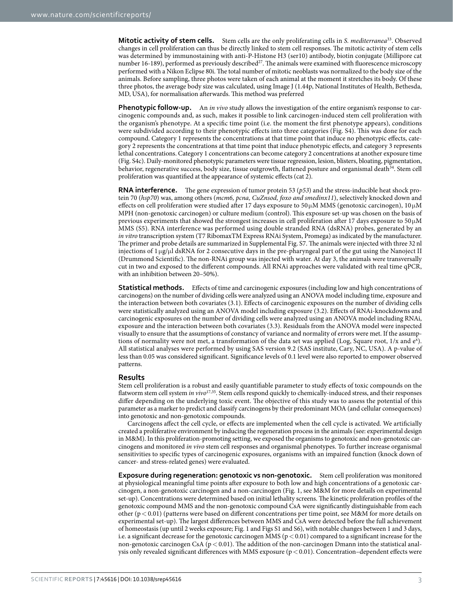**Mitotic activity of stem cells.** Stem cells are the only proliferating cells in *S. mediterranea*[33.](#page-9-1) Observed changes in cell proliferation can thus be directly linked to stem cell responses. The mitotic activity of stem cells was determined by immunostaining with anti-P-Histone H3 (ser10) antibody, biotin conjugate (Millipore cat number 16-189), performed as previously described<sup>[27](#page-8-14)</sup>. The animals were examined with fluorescence microscopy performed with a Nikon Eclipse 80i. The total number of mitotic neoblasts was normalized to the body size of the animals. Before sampling, three photos were taken of each animal at the moment it stretches its body. Of these three photos, the average body size was calculated, using Image J (1.44p, National Institutes of Health, Bethesda, MD, USA), for normalisation afterwards. This method was preferred

**Phenotypic follow-up.** An *in vivo* study allows the investigation of the entire organism's response to carcinogenic compounds and, as such, makes it possible to link carcinogen-induced stem cell proliferation with the organism's phenotype. At a specific time point (i.e. the moment the first phenotype appears), conditions were subdivided according to their phenotypic effects into three categories (Fig. S4). This was done for each compound. Category 1 represents the concentrations at that time point that induce no phenotypic effects, category 2 represents the concentrations at that time point that induce phenotypic effects, and category 3 represents lethal concentrations. Category 1 concentrations can become category 2 concentrations at another exposure time (Fig. S4c). Daily-monitored phenotypic parameters were tissue regression, lesion, blisters, bloating, pigmentation, behavior, regenerative success, body size, tissue outgrowth, flattened posture and organismal death<sup>34</sup>. Stem cell proliferation was quantified at the appearance of systemic effects (cat 2).

**RNA interference.** The gene expression of tumor protein 53 (*p53*) and the stress-inducible heat shock protein 70 (*hsp70*) was, among others (*mcm6, pcna, CuZnsod, foxo and smedinx11*), selectively knocked down and effects on cell proliferation were studied after 17 days exposure to 50 μM MMS (genotoxic carcinogen), 10 μM MPH (non-genotoxic carcinogen) or culture medium (control). This exposure set-up was chosen on the basis of previous experiments that showed the strongest increases in cell proliferation after 17 days exposure to 50 μM MMS (S5). RNA interference was performed using double stranded RNA (dsRNA) probes, generated by an *in vitro* transcription system (T7 RibomaxTM Express RNAi System, Promega) as indicated by the manufacturer. The primer and probe details are summarized in Supplemental Fig. S7. The animals were injected with three 32 nl injections of 1 μg/μl dsRNA for 2 consecutive days in the pre-pharyngeal part of the gut using the Nanoject II (Drummond Scientific). The non-RNAi group was injected with water. At day 3, the animals were transversally cut in two and exposed to the different compounds. All RNAi approaches were validated with real time qPCR, with an inhibition between 20–50%).

**Statistical methods.** Effects of time and carcinogenic exposures (including low and high concentrations of carcinogens) on the number of dividing cells were analyzed using an ANOVA model including time, exposure and the interaction between both covariates (3.1). Effects of carcinogenic exposures on the number of dividing cells were statistically analyzed using an ANOVA model including exposure (3.2). Effects of RNAi-knockdowns and carcinogenic exposures on the number of dividing cells were analyzed using an ANOVA model including RNAi, exposure and the interaction between both covariates (3.3). Residuals from the ANOVA model were inspected visually to ensure that the assumptions of constancy of variance and normality of errors were met. If the assumptions of normality were not met, a transformation of the data set was applied (Log, Square root, 1/x and e<sup>x</sup>). All statistical analyses were performed by using SAS version 9.2 (SAS institute, Cary, NC, USA). A p-value of less than 0.05 was considered significant. Significance levels of 0.1 level were also reported to empower observed patterns.

### **Results**

Stem cell proliferation is a robust and easily quantifiable parameter to study effects of toxic compounds on the flatworm stem cell system *in vivo*[17](#page-8-15)[,35.](#page-9-3) Stem cells respond quickly to chemically-induced stress, and their responses differ depending on the underlying toxic event. The objective of this study was to assess the potential of this parameter as a marker to predict and classify carcinogens by their predominant MOA (and cellular consequences) into genotoxic and non-genotoxic compounds.

Carcinogens affect the cell cycle, or effects are implemented when the cell cycle is activated. We artificially created a proliferative environment by inducing the regeneration process in the animals (see: experimental design in M&M). In this proliferation-promoting setting, we exposed the organisms to genotoxic and non-genotoxic carcinogens and monitored *in vivo* stem cell responses and organismal phenotypes. To further increase organismal sensitivities to specific types of carcinogenic exposures, organisms with an impaired function (knock down of cancer- and stress-related genes) were evaluated.

**Exposure during regeneration: genotoxic vs non-genotoxic.** Stem cell proliferation was monitored at physiological meaningful time points after exposure to both low and high concentrations of a genotoxic carcinogen, a non-genotoxic carcinogen and a non-carcinogen ([Fig. 1,](#page-3-0) see M&M for more details on experimental set-up). Concentrations were determined based on initial lethality screens. The kinetic proliferation profiles of the genotoxic compound MMS and the non-genotoxic compound CsA were significantly distinguishable from each other ( $p < 0.01$ ) (patterns were based on different concentrations per time point, see M&M for more details on experimental set-up). The largest differences between MMS and CsA were detected before the full achievement of homeostasis (up until 2 weeks exposure; [Fig. 1](#page-3-0) and Figs S1 and S6), with notable changes between 1 and 3 days, i.e. a significant decrease for the genotoxic carcinogen MMS ( $p < 0.01$ ) compared to a significant increase for the non-genotoxic carcinogen CsA ( $p < 0.01$ ). The addition of the non-carcinogen Dmann into the statistical analysis only revealed significant differences with MMS exposure (p< 0.01). Concentration–dependent effects were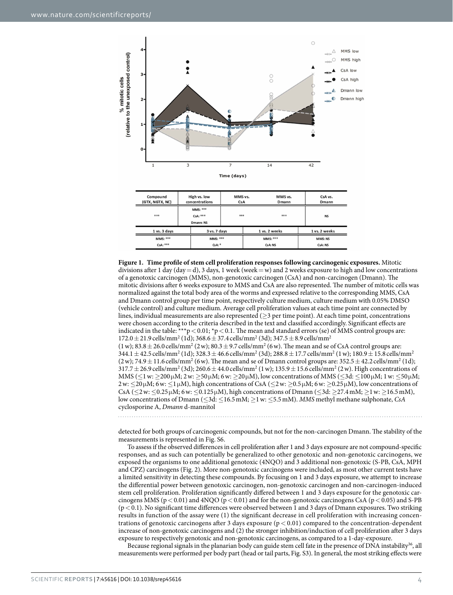

<span id="page-3-0"></span>**Figure 1. Time profile of stem cell proliferation responses following carcinogenic exposures.** Mitotic divisions after 1 day (day = d), 3 days, 1 week (week = w) and 2 weeks exposure to high and low concentrations of a genotoxic carcinogen (MMS), non-genotoxic carcinogen (CsA) and non-carcinogen (Dmann). The mitotic divisions after 6 weeks exposure to MMS and CsA are also represented. The number of mitotic cells was normalized against the total body area of the worms and expressed relative to the corresponding MMS, CsA and Dmann control group per time point, respectively culture medium, culture medium with 0.05% DMSO (vehicle control) and culture medium. Average cell proliferation values at each time point are connected by lines, individual measurements are also represented ( $\geq$ 3 per time point). At each time point, concentrations were chosen according to the criteria described in the text and classified accordingly. Significant effects are indicated in the table: \*\*\*p < 0.01; \*p < 0.1. The mean and standard errors (se) of MMS control groups are:  $172.0 \pm 21.9 \text{ cells/mm}^2$  (1d);  $368.6 \pm 37.4 \text{ cells/mm}^2$  (3d);  $347.5 \pm 8.9 \text{ cells/mm}^2$  $(1 \text{ w})$ ; 83.8  $\pm$  26.0 cells/mm<sup>2</sup> (2w); 80.3  $\pm$  9.7 cells/mm<sup>2</sup> (6w). The mean and se of CsA control groups are:  $344.1\pm42.5$  cells/mm $^2$  (1d);  $328.3\pm46.6$  cells/mm $^2$  (3d);  $288.8\pm17.7$  cells/mm $^2$  (1 w);  $180.9\pm15.8$  cells/mm $^2$  $(2 \text{ w})$ ; 74.9  $\pm$  11.6 cells/mm<sup>2</sup> (6 w). The mean and se of Dmann control groups are:  $352.5 \pm 42.2$  cells/mm<sup>2</sup> (1d);  $317.7 \pm 26.9$  cells/mm<sup>2</sup> (3d);  $260.6 \pm 44.0$  cells/mm<sup>2</sup> (1 w);  $135.9 \pm 15.6$  cells/mm<sup>2</sup> (2 w). High concentrations of MMS ( $\leq$ 1 w:  $\geq$ 200 $\mu$ M; 2 w:  $\geq$ 50 $\mu$ M; 6 w:  $\geq$ 20 $\mu$ M), low concentrations of MMS ( $\leq$ 3d:  $\leq$ 100 $\mu$ M; 1 w:  $\leq$ 50 $\mu$ M;  $2w: \leq 20 \mu M$ ; 6w:  $\leq 1 \mu M$ ), high concentrations of CsA ( $\leq 2w: \geq 0.5 \mu M$ ; 6w:  $\geq 0.25 \mu M$ ), low concentrations of CsA (≤2w: ≤0.25μM; 6w: ≤0.125μM), high concentrations of Dmann (≤3d: ≥27.4mM; ≥1w: ≥16.5mM), low concentrations of Dmann (≤3d: ≤16.5mM; ≥1w: ≤5.5mM). *MMS* methyl methane sulphonate, *CsA* cyclosporine A, *Dmann* d-mannitol

detected for both groups of carcinogenic compounds, but not for the non-carcinogen Dmann. The stability of the measurements is represented in Fig. S6.

To assess if the observed differences in cell proliferation after 1 and 3 days exposure are not compound-specific responses, and as such can potentially be generalized to other genotoxic and non-genotoxic carcinogens, we exposed the organisms to one additional genotoxic (4NQO) and 3 additional non-genotoxic (S-PB, CsA, MPH and CPZ) carcinogens [\(Fig. 2](#page-4-0)). More non-genotoxic carcinogens were included, as most other current tests have a limited sensitivity in detecting these compounds. By focusing on 1 and 3 days exposure, we attempt to increase the differential power between genotoxic carcinogen, non-genotoxic carcinogen and non-carcinogen-induced stem cell proliferation. Proliferation significantly differed between 1 and 3 days exposure for the genotoxic carcinogens MMS ( $p < 0.01$ ) and  $4NQO (p < 0.01)$  and for the non-genotoxic carcinogens CsA ( $p < 0.05$ ) and S-PB  $(p<0.1)$ . No significant time differences were observed between 1 and 3 days of Dmann exposures. Two striking results in function of the assay were (1) the significant decrease in cell proliferation with increasing concentrations of genotoxic carcinogens after 3 days exposure  $(p < 0.01)$  compared to the concentration-dependent increase of non-genotoxic carcinogens and (2) the stronger inhibition/induction of cell proliferation after 3 days exposure to respectively genotoxic and non-genotoxic carcinogens, as compared to a 1-day-exposure.

Because regional signals in the planarian body can guide stem cell fate in the presence of DNA instability<sup>[36](#page-9-4)</sup>, all measurements were performed per body part (head or tail parts, Fig. S3). In general, the most striking effects were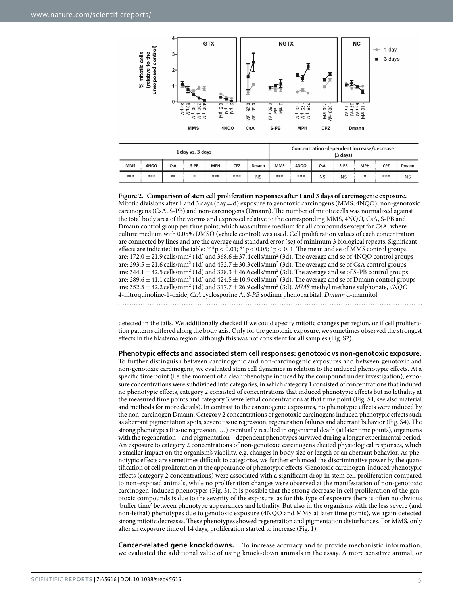

| 1 day vs. 3 days |      |            |        |            |     | Concentration -dependent increase/decrease<br>$(3 \text{ days})$ |            |                  |           |           |            |     |           |
|------------------|------|------------|--------|------------|-----|------------------------------------------------------------------|------------|------------------|-----------|-----------|------------|-----|-----------|
| <b>MMS</b>       | 4NOO | <b>CsA</b> | $S-PB$ | <b>MPH</b> | CPZ | Dmann                                                            | <b>MMS</b> | 4NO <sub>O</sub> | CsA       | S-PB      | <b>MPH</b> | CPZ | Dmann     |
| ***              | ***  | **         | *      | ***        | *** | <b>NS</b>                                                        | ***        | ***              | <b>NS</b> | <b>NS</b> | *          | *** | <b>NS</b> |

<span id="page-4-0"></span>**Figure 2. Comparison of stem cell proliferation responses after 1 and 3 days of carcinogenic exposure.**  Mitotic divisions after 1 and 3 days (day=d) exposure to genotoxic carcinogens (MMS, 4NQO), non-genotoxic carcinogens (CsA, S-PB) and non-carcinogens (Dmann). The number of mitotic cells was normalized against the total body area of the worms and expressed relative to the corresponding MMS, 4NQO, CsA, S-PB and Dmann control group per time point, which was culture medium for all compounds except for CsA, where culture medium with 0.05% DMSO (vehicle control) was used. Cell proliferation values of each concentration are connected by lines and are the average and standard error (se) of minimum 3 biological repeats. Significant effects are indicated in the table: \*\*\*p < 0.01; \*\*p < 0.05; \*p < 0.1. The mean and se of MMS control groups are:  $172.0 \pm 21.9$  cells/mm<sup>2</sup> (1d) and  $368.6 \pm 37.4$  cells/mm<sup>2</sup> (3d). The average and se of  $4NQO$  control groups are: 293.5  $\pm$  21.6 cells/mm<sup>2</sup> (1d) and 452.7  $\pm$  30.3 cells/mm<sup>2</sup> (3d). The average and se of CsA control groups are: 344.1  $\pm$  42.5 cells/mm<sup>2</sup> (1d) and 328.3  $\pm$  46.6 cells/mm<sup>2</sup> (3d). The average and se of S-PB control groups are: 289.6 $\pm$ 41.1 cells/mm<sup>2</sup> (1d) and 424.5  $\pm$  10.9 cells/mm<sup>2</sup> (3d). The average and se of Dmann control groups are:  $352.5 \pm 42.2$  cells/mm<sup>2</sup> (1d) and  $317.7 \pm 26.9$  cells/mm<sup>2</sup> (3d). *MMS* methyl methane sulphonate,  $4NQO$ 4-nitroquinoline-1-oxide, *CsA* cyclosporine A, *S-PB* sodium phenobarbital, *Dmann* d-mannitol

detected in the tails. We additionally checked if we could specify mitotic changes per region, or if cell proliferation patterns differed along the body axis. Only for the genotoxic exposure, we sometimes observed the strongest effects in the blastema region, although this was not consistent for all samples (Fig. S2).

**Phenotypic effects and associated stem cell responses: genotoxic vs non-genotoxic exposure.** To further distinguish between carcinogenic and non-carcinogenic exposures and between genotoxic and non-genotoxic carcinogens, we evaluated stem cell dynamics in relation to the induced phenotypic effects. At a specific time point (i.e. the moment of a clear phenotype induced by the compound under investigation), exposure concentrations were subdivided into categories, in which category 1 consisted of concentrations that induced no phenotypic effects, category 2 consisted of concentrations that induced phenotypic effects but no lethality at the measured time points and category 3 were lethal concentrations at that time point (Fig. S4; see also material and methods for more details). In contrast to the carcinogenic exposures, no phenotypic effects were induced by the non-carcinogen Dmann. Category 2 concentrations of genotoxic carcinogens induced phenotypic effects such as aberrant pigmentation spots, severe tissue regression, regeneration failures and aberrant behavior (Fig. S4). The strong phenotypes (tissue regression, …) eventually resulted in organismal death (at later time points), organisms with the regeneration – and pigmentation – dependent phenotypes survived during a longer experimental period. An exposure to category 2 concentrations of non-genotoxic carcinogens elicited physiological responses, which a smaller impact on the organism's viability, e.g. changes in body size or length or an aberrant behavior. As phenotypic effects are sometimes difficult to categorize, we further enhanced the discriminative power by the quantification of cell proliferation at the appearance of phenotypic effects: Genotoxic carcinogen-induced phenotypic effects (category 2 concentrations) were associated with a significant drop in stem cell proliferation compared to non-exposed animals, while no proliferation changes were observed at the manifestation of non-genotoxic carcinogen-induced phenotypes ([Fig. 3\)](#page-5-0). It is possible that the strong decrease in cell proliferation of the genotoxic compounds is due to the severity of the exposure, as for this type of exposure there is often no obvious 'buffer time' between phenotype appearances and lethality. But also in the organisms with the less severe (and non-lethal) phenotypes due to genotoxic exposure (4NQO and MMS at later time points), we again detected strong mitotic decreases. These phenotypes showed regeneration and pigmentation disturbances. For MMS, only after an exposure time of 14 days, proliferation started to increase [\(Fig. 1\)](#page-3-0).

**Cancer-related gene knockdowns.** To increase accuracy and to provide mechanistic information, we evaluated the additional value of using knock-down animals in the assay. A more sensitive animal, or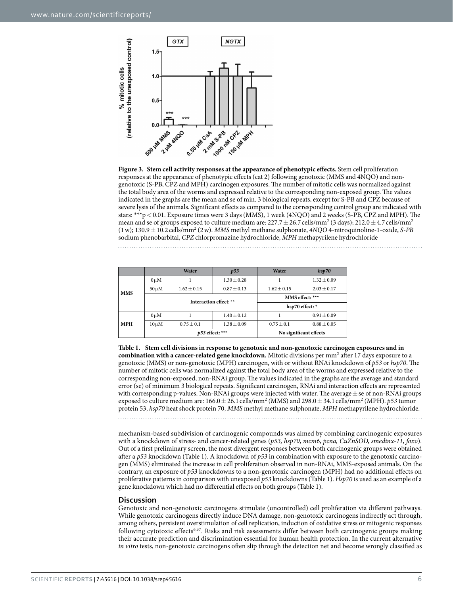

<span id="page-5-0"></span>**Figure 3. Stem cell activity responses at the appearance of phenotypic effects.** Stem cell proliferation responses at the appearance of phenotypic effects (cat 2) following genotoxic (MMS and 4NQO) and nongenotoxic (S-PB, CPZ and MPH) carcinogen exposures. The number of mitotic cells was normalized against the total body area of the worms and expressed relative to the corresponding non-exposed group. The values indicated in the graphs are the mean and se of min. 3 biological repeats, except for S-PB and CPZ because of severe lysis of the animals. Significant effects as compared to the corresponding control group are indicated with stars: \*\*\*p<0.01. Exposure times were 3 days (MMS), 1 week (4NQO) and 2 weeks (S-PB, CPZ and MPH). The mean and se of groups exposed to culture medium are: 227.7  $\pm$  26.7 cells/mm<sup>2</sup> (3 days); 212.0  $\pm$  4.7 cells/mm<sup>2</sup> (1w); 130.9±10.2 cells/mm2 (2w). *MMS* methyl methane sulphonate, *4NQO* 4-nitroquinoline-1-oxide, *S-PB* sodium phenobarbital, *CPZ* chlorpromazine hydrochloride, *MPH* methapyrilene hydrochloride

<span id="page-5-1"></span>

|            |            | Water                  | p53             | Water           | hsp70           |  |  |
|------------|------------|------------------------|-----------------|-----------------|-----------------|--|--|
| <b>MMS</b> | $0 \mu M$  |                        | $1.30 \pm 0.28$ |                 | $1.32 \pm 0.09$ |  |  |
|            | $50 \mu M$ | $1.62 \pm 0.15$        | $0.87 \pm 0.13$ | $1.62 \pm 0.15$ | $2.03 \pm 0.17$ |  |  |
|            |            | Interaction effect: ** |                 | MMS effect: *** |                 |  |  |
|            |            |                        |                 | hsp70 effect: * |                 |  |  |
|            |            |                        |                 |                 |                 |  |  |
|            | $0 \mu M$  |                        | $1.40 \pm 0.12$ |                 | $0.91 \pm 0.09$ |  |  |
| <b>MPH</b> | $10 \mu M$ | $0.75 \pm 0.1$         | $1.38 \pm 0.09$ | $0.75 \pm 0.1$  | $0.88 \pm 0.05$ |  |  |

**Table 1. Stem cell divisions in response to genotoxic and non-genotoxic carcinogen exposures and in**  combination with a cancer-related gene knockdown. Mitotic divisions per mm<sup>2</sup> after 17 days exposure to a genotoxic (MMS) or non-genotoxic (MPH) carcinogen, with or without RNAi knockdown of *p53* or *hsp70*. The number of mitotic cells was normalized against the total body area of the worms and expressed relative to the corresponding non-exposed, non-RNAi group. The values indicated in the graphs are the average and standard error (se) of minimum 3 biological repeats. Significant carcinogen, RNAi and interaction effects are represented with corresponding p-values. Non-RNAi groups were injected with water. The average  $\pm$  se of non-RNAi groups exposed to culture medium are:  $166.0 \pm 26.1$  cells/mm<sup>2</sup> (MMS) and  $298.0 \pm 34.1$  cells/mm<sup>2</sup> (MPH). *p53* tumor protein 53, *hsp70* heat shock protein 70, *MMS* methyl methane sulphonate, *MPH* methapyrilene hydrochloride.

mechanism-based subdivision of carcinogenic compounds was aimed by combining carcinogenic exposures with a knockdown of stress- and cancer-related genes (*p53, hsp70, mcm6, pcna, CuZnSOD, smedinx-11, foxo*). Out of a first preliminary screen, the most divergent responses between both carcinogenic groups were obtained after a *p53* knockdown [\(Table 1\)](#page-5-1). A knockdown of *p53* in combination with exposure to the genotoxic carcinogen (MMS) eliminated the increase in cell proliferation observed in non-RNAi, MMS-exposed animals. On the contrary, an exposure of *p53* knockdowns to a non-genotoxic carcinogen (MPH) had no additional effects on proliferative patterns in comparison with unexposed *p53* knockdowns ([Table 1](#page-5-1)). *Hsp70* is used as an example of a gene knockdown which had no differential effects on both groups ([Table 1](#page-5-1)).

### **Discussion**

Genotoxic and non-genotoxic carcinogens stimulate (uncontrolled) cell proliferation via different pathways. While genotoxic carcinogens directly induce DNA damage, non-genotoxic carcinogens indirectly act through, among others, persistent overstimulation of cell replication, induction of oxidative stress or mitogenic responses following cytotoxic effects<sup>6,37</sup>. Risks and risk assessments differ between both carcinogenic groups making their accurate prediction and discrimination essential for human health protection. In the current alternative *in vitro* tests, non-genotoxic carcinogens often slip through the detection net and become wrongly classified as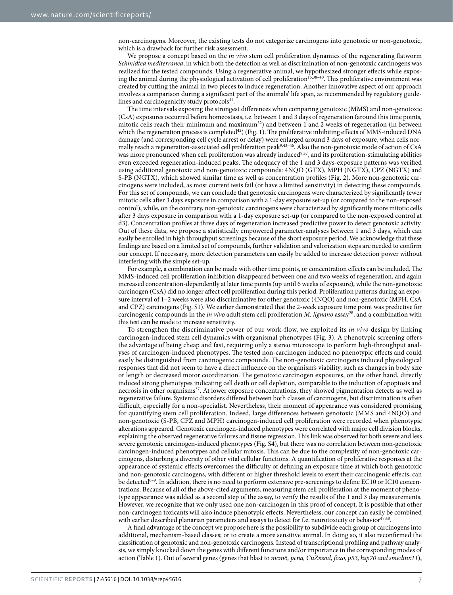non-carcinogens. Moreover, the existing tests do not categorize carcinogens into genotoxic or non-genotoxic, which is a drawback for further risk assessment.

We propose a concept based on the *in vivo* stem cell proliferation dynamics of the regenerating flatworm *Schmidtea mediterranea*, in which both the detection as well as discrimination of non-genotoxic carcinogens was realized for the tested compounds. Using a regenerative animal, we hypothesized stronger effects while exposing the animal during the physiological activation of cell proliferation<sup>15,38–40</sup>. This proliferative environment was created by cutting the animal in two pieces to induce regeneration. Another innovative aspect of our approach involves a comparison during a significant part of the animals' life span, as recommended by regulatory guidelines and carcinogenicity study protocols<sup>41</sup>.

The time intervals exposing the strongest differences when comparing genotoxic (MMS) and non-genotoxic (CsA) exposures occurred before homeostasis, i.e. between 1 and 3 days of regeneration (around this time points, mitotic cells reach their minimum and maximum<sup>[32](#page-9-0)</sup>) and between 1 and 2 weeks of regeneration (in between which the regeneration process is completed<sup>[42](#page-9-8)</sup>) [\(Fig. 1\)](#page-3-0). The proliferative inhibiting effects of MMS-induced DNA damage (and corresponding cell cycle arrest or delay) were enlarged around 3 days of exposure, when cells normally reach a regeneration-associated cell proliferation pea[k9](#page-8-3)[,43–46](#page-9-9). Also the non-genotoxic mode of action of CsA was more pronounced when cell proliferation was already induced<sup>[9,](#page-8-3)37</sup>, and its proliferation-stimulating abilities even exceeded regeneration-induced peaks. The adequacy of the 1 and 3 days-exposure patterns was verified using additional genotoxic and non-genotoxic compounds: 4NQO (GTX), MPH (NGTX), CPZ (NGTX) and S-PB (NGTX), which showed similar time as well as concentration profiles ([Fig. 2](#page-4-0)). More non-genotoxic carcinogens were included, as most current tests fail (or have a limited sensitivity) in detecting these compounds. For this set of compounds, we can conclude that genotoxic carcinogens were characterized by significantly fewer mitotic cells after 3 days exposure in comparison with a 1-day exposure set-up (or compared to the non-exposed control), while, on the contrary, non-genotoxic carcinogens were characterized by significantly more mitotic cells after 3 days exposure in comparison with a 1-day exposure set-up (or compared to the non-exposed control at d3). Concentration profiles at three days of regeneration increased predictive power to detect genotoxic activity. Out of these data, we propose a statistically empowered parameter-analyses between 1 and 3 days, which can easily be enrolled in high throughput screenings because of the short exposure period. We acknowledge that these findings are based on a limited set of compounds, further validation and valorization steps are needed to confirm our concept. If necessary, more detection parameters can easily be added to increase detection power without interfering with the simple set-up.

For example, a combination can be made with other time points, or concentration effects can be included. The MMS-induced cell proliferation inhibition disappeared between one and two weeks of regeneration, and again increased concentration-dependently at later time points (up until 6 weeks of exposure), while the non-genotoxic carcinogen (CsA) did no longer affect cell proliferation during this period. Proliferation patterns during an exposure interval of 1–2 weeks were also discriminative for other genotoxic (4NQO) and non-genotoxic (MPH, CsA and CPZ) carcinogens (Fig. S1). We earlier demonstrated that the 2-week exposure time point was predictive for carcinogenic compounds in the *in vivo* adult stem cell proliferation *M. lignano* assay[28,](#page-8-16) and a combination with this test can be made to increase sensitivity.

To strengthen the discriminative power of our work-flow, we exploited its *in vivo* design by linking carcinogen-induced stem cell dynamics with organismal phenotypes [\(Fig. 3](#page-5-0)). A phenotypic screening offers the advantage of being cheap and fast, requiring only a stereo microscope to perform high-throughput analyses of carcinogen-induced phenotypes. The tested non-carcinogen induced no phenotypic effects and could easily be distinguished from carcinogenic compounds. The non-genotoxic carcinogens induced physiological responses that did not seem to have a direct influence on the organism's viability, such as changes in body size or length or decreased motor coordination. The genotoxic carcinogen exposures, on the other hand, directly induced strong phenotypes indicating cell death or cell depletion, comparable to the induction of apoptosis and necrosis in other organisms[37.](#page-9-5) At lower exposure concentrations, they showed pigmentation defects as well as regenerative failure. Systemic disorders differed between both classes of carcinogens, but discrimination is often difficult, especially for a non-specialist. Nevertheless, their moment of appearance was considered promising for quantifying stem cell proliferation. Indeed, large differences between genotoxic (MMS and 4NQO) and non-genotoxic (S-PB, CPZ and MPH) carcinogen-induced cell proliferation were recorded when phenotypic alterations appeared. Genotoxic carcinogen-induced phenotypes were correlated with major cell division blocks, explaining the observed regenerative failures and tissue regression. This link was observed for both severe and less severe genotoxic carcinogen-induced phenotypes (Fig. S4), but there was no correlation between non-genotoxic carcinogen-induced phenotypes and cellular mitosis. This can be due to the complexity of non-genotoxic carcinogens, disturbing a diversity of other vital cellular functions. A quantification of proliferative responses at the appearance of systemic effects overcomes the difficulty of defining an exposure time at which both genotoxic and non-genotoxic carcinogens, with different or higher threshold levels to exert their carcinogenic effects, can be detected<sup>6–9</sup>. In addition, there is no need to perform extensive pre-screenings to define EC10 or IC10 concentrations. Because of all of the above-cited arguments, measuring stem cell proliferation at the moment of phenotype appearance was added as a second step of the assay, to verify the results of the 1 and 3 day measurements. However, we recognize that we only used one non-carcinogen in this proof of concept. It is possible that other non-carcinogen toxicants will also induce phenotypic effects. Nevertheless, our concept can easily be combined with earlier described planarian parameters and assays to detect for f.e. neurotoxicity or behavior<sup>47,48</sup>.

A final advantage of the concept we propose here is the possibility to subdivide each group of carcinogens into additional, mechanism-based classes; or to create a more sensitive animal. In doing so, it also reconfirmed the classification of genotoxic and non-genotoxic carcinogens. Instead of transcriptional profiling and pathway analysis, we simply knocked down the genes with different functions and/or importance in the corresponding modes of action ([Table 1](#page-5-1)). Out of several genes (genes that blast to *mcm6, pcna, CuZnsod, foxo, p53, hsp70 and smedinx11*),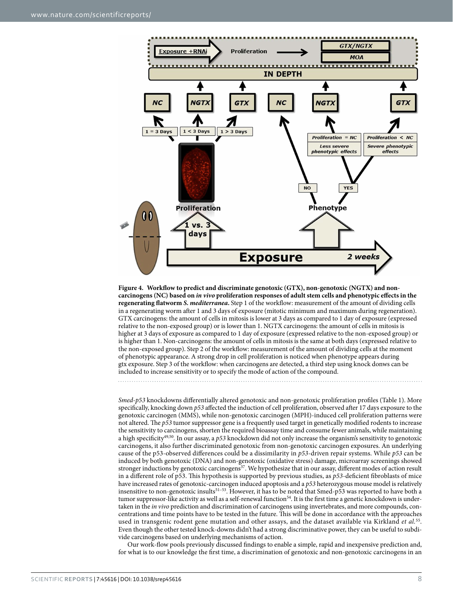

<span id="page-7-0"></span>**Figure 4. Workflow to predict and discriminate genotoxic (GTX), non-genotoxic (NGTX) and noncarcinogens (NC) based on** *in vivo* **proliferation responses of adult stem cells and phenotypic effects in the regenerating flatworm** *S. mediterranea***.** Step 1 of the workflow: measurement of the amount of dividing cells in a regenerating worm after 1 and 3 days of exposure (mitotic minimum and maximum during regeneration). GTX carcinogens: the amount of cells in mitosis is lower at 3 days as compared to 1 day of exposure (expressed relative to the non-exposed group) or is lower than 1. NGTX carcinogens: the amount of cells in mitosis is higher at 3 days of exposure as compared to 1 day of exposure (expressed relative to the non-exposed group) or is higher than 1. Non-carcinogens: the amount of cells in mitosis is the same at both days (expressed relative to the non-exposed group). Step 2 of the workflow: measurement of the amount of dividing cells at the moment of phenotypic appearance. A strong drop in cell proliferation is noticed when phenotype appears during gtx exposure. Step 3 of the workflow: when carcinogens are detected, a third step using knock donws can be included to increase sensitivity or to specify the mode of action of the compound.

*Smed-p53* knockdowns differentially altered genotoxic and non-genotoxic proliferation profiles [\(Table 1](#page-5-1)). More specifically, knocking down *p53* affected the induction of cell proliferation, observed after 17 days exposure to the genotoxic carcinogen (MMS), while non-genotoxic carcinogen (MPH)-induced cell proliferation patterns were not altered. The *p53* tumor suppressor gene is a frequently used target in genetically modified rodents to increase the sensitivity to carcinogens, shorten the required bioassay time and consume fewer animals, while maintaining a high specificity[49](#page-9-12),[50](#page-9-13). In our assay, a *p53* knockdown did not only increase the organism's sensitivity to genotoxic carcinogens, it also further discriminated genotoxic from non-genotoxic carcinogen exposures. An underlying cause of the p53-observed differences could be a dissimilarity in *p53*-driven repair systems. While *p53* can be induced by both genotoxic (DNA) and non-genotoxic (oxidative stress) damage, microarray screenings showed stronger inductions by genotoxic carcinogens<sup>[37](#page-9-5)</sup>. We hypothesize that in our assay, different modes of action result in a different role of p53. This hypothesis is supported by previous studies, as *p53*-deficient fibroblasts of mice have increased rates of genotoxic-carcinogen induced apoptosis and a *p53* heterozygous mouse model is relatively insensitive to non-genotoxic insult[s51–53](#page-9-14). However, it has to be noted that Smed-p53 was reported to have both a tumor suppressor-like activity as well as a self-renewal function<sup>54</sup>. It is the first time a genetic knockdown is undertaken in the *in vivo* prediction and discrimination of carcinogens using invertebrates, and more compounds, concentrations and time points have to be tested in the future. This will be done in accordance with the approaches used in transgenic rodent gene mutation and other assays, and the dataset available via Kirkland *et al.*[55.](#page-9-16) Even though the other tested knock-downs didn't had a strong discriminative power, they can be useful to subdivide carcinogens based on underlying mechanisms of action.

Our work-flow pools previously discussed findings to enable a simple, rapid and inexpensive prediction and, for what is to our knowledge the first time, a discrimination of genotoxic and non-genotoxic carcinogens in an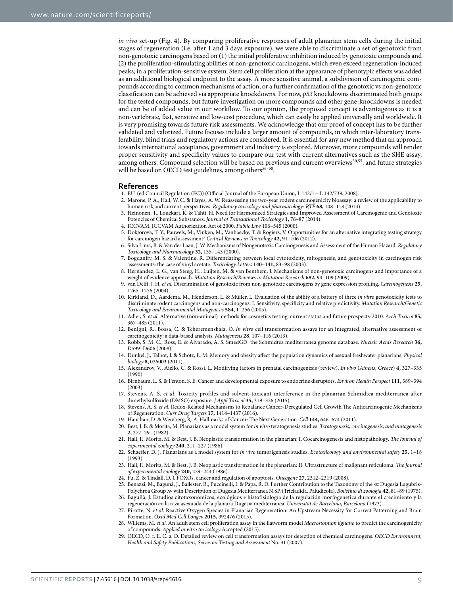*in vivo* set-up [\(Fig. 4](#page-7-0)). By comparing proliferative responses of adult planarian stem cells during the initial stages of regeneration (i.e. after 1 and 3 days exposure), we were able to discriminate a set of genotoxic from non-genotoxic carcinogens based on (1) the initial proliferative inhibition induced by genotoxic compounds and (2) the proliferation-stimulating abilities of non-genotoxic carcinogens, which even exceed regeneration-induced peaks; in a proliferation-sensitive system. Stem cell proliferation at the appearance of phenotypic effects was added as an additional biological endpoint to the assay. A more sensitive animal, a subdivision of carcinogenic compounds according to common mechanisms of action, or a further confirmation of the genotoxic vs non-genotoxic classification can be achieved via appropriate knockdowns. For now, *p53* knockdowns discriminated both groups for the tested compounds, but future investigation on more compounds and other gene-knockdowns is needed and can be of added value in our workflow. To our opinion, the proposed concept is advantageous as it is a non-vertebrate, fast, sensitive and low-cost procedure, which can easily be applied universally and worldwide. It is very promising towards future risk assessments. We acknowledge that our proof of concept has to be further validated and valorized. Future focuses include a larger amount of compounds, in which inter-laboratory transferability, blind trials and regulatory actions are considered. It is essential for any new method that an approach towards international acceptance, government and industry is explored. Moreover, more compounds will render proper sensitivity and specificity values to compare our test with current alternatives such as the SHE assay, among others. Compound selection will be based on previous and current overviews<sup>[30](#page-9-17),[55](#page-9-16)</sup>, and future strategies will be based on OECD test guidelines, among others<sup>56-58</sup>.

#### **References**

- <span id="page-8-0"></span>1. EU. (ed Council Regulation (EC)) (Official Journal of the European Union, L 142/1—L 142/739, 2008).
- 2. Marone, P. A., Hall, W. C. & Hayes, A. W. Reassessing the two-year rodent carcinogenicity bioassay: a review of the applicability to human risk and current perspectives. *Regulatory toxicology and pharmacology: RTP* **68,** 108–118 (2014).
- <span id="page-8-5"></span>3. Heinonen, T., Louekari, K. & Tähti, H. Need for Harmonized Strategies and Improved Assessment of Carcinogenic and Genotoxic Potencies of Chemical Substances. *Journal of Translational Toxicology* **1,** 76–87 (2014).
- 4. ICCVAM. ICCVAM Authorization Act of 2000. *Public Law* 106–545 (2000).
- <span id="page-8-6"></span>5. Doktorova, T. Y., Pauwels, M., Vinken, M., Vanhaecke, T. & Rogiers, V. Opportunities for an alternative integrating testing strategy for carcinogen hazard assessment? *Critical Reviews in Toxicology* **42,** 91–106 (2012).
- <span id="page-8-1"></span>6. Silva Lima, B. & Van der Laan, J. W. Mechanisms of Nongenotoxic Carcinogenesis and Assessment of the Human Hazard. *Regulatory Toxicology and Pharmacology* **32,** 135–143 (2000).
- 7. Bogdanffy, M. S. & Valentine, R. Differentiating between local cytotoxicity, mitogenesis, and genotoxicity in carcinogen risk assessments: the case of vinyl acetate. *Toxicology Letters* **140–141,** 83–98 (2003).
- <span id="page-8-2"></span>8. Hernández, L. G., van Steeg, H., Luijten, M. & van Benthem, J. Mechanisms of non-genotoxic carcinogens and importance of a weight of evidence approach. *Mutation Research/Reviews in Mutation Research* **682,** 94–109 (2009).
- <span id="page-8-3"></span>9. van Delft, J. H. *et al.* Discrimination of genotoxic from non-genotoxic carcinogens by gene expression profiling. *Carcinogenesis* **25,** 1265–1276 (2004).
- <span id="page-8-4"></span>10. Kirkland, D., Aardema, M., Henderson, L. & Müller, L. Evaluation of the ability of a battery of three *in vitro* genotoxicity tests to discriminate rodent carcinogens and non-carcinogens: I. Sensitivity, specificity and relative predictivity. *Mutation Research/Genetic Toxicology and Environmental Mutagenesis* **584,** 1–256 (2005).
- 11. Adler, S. *et al.* Alternative (non-animal) methods for cosmetics testing: current status and future prospects-2010. *Arch Toxicol* **85,** 367–485 (2011).
- 12. Benigni, R., Bossa, C. & Tcheremenskaia, O. *In vitro* cell transformation assays for an integrated, alternative assessment of carcinogenicity: a data-based analysis. *Mutagenesis* **28,** 107–116 (2013).
- <span id="page-8-7"></span>13. Robb, S. M. C., Ross, E. & Alvarado, A. S. SmedGD: the Schmidtea mediterranea genome database. *Nucleic Acids Research* **36,** D599–D606 (2008).
- <span id="page-8-8"></span>14. Dunkel, J., Talbot, J. & Schotz, E. M. Memory and obesity affect the population dynamics of asexual freshwater planarians. *Physical biology* **8,** 026003 (2011).
- <span id="page-8-9"></span>15. Alexandrov, V., Aiello, C. & Rossi, L. Modifying factors in prenatal carcinogenesis (review). *In vivo* (*Athens, Greece*) **4,** 327–335 (1990).
- 16. Birnbaum, L. S. & Fenton, S. E. Cancer and developmental exposure to endocrine disruptors. *Environ Health Perspect* **111,** 389–394 (2003).
- <span id="page-8-15"></span>17. Stevens, A. S. *et al.* Toxicity profiles and solvent-toxicant interference in the planarian Schmidtea mediterranea after dimethylsulfoxide (DMSO) exposure. *J Appl Toxicol* **35,** 319–326 (2015).
- <span id="page-8-11"></span>18. Stevens, A. S. *et al.* Redox-Related Mechanisms to Rebalance Cancer-Deregulated Cell Growth The Anticarcinogenic Mechanisms of Regeneration. *Curr Drug Targets* **17,** 1414–1437 (2016).
- <span id="page-8-10"></span>19. Hanahan, D. & Weinberg, R. A. Hallmarks of Cancer: The Next Generation. *Cell* **144,** 646–674 (2011).
- 20. Best, J. B. & Morita, M. Planarians as a model system for *in vitro* teratogenesis studies. *Teratogenesis, carcinogenesis, and mutagenesis* **2,** 277–291 (1982).
- 21. Hall, F., Morita, M. & Best, J. B. Neoplastic transformation in the planarian: I. Cocarcinogenesis and histopathology. *The Journal of experimental zoology* **240,** 211–227 (1986).
- 22. Schaeffer, D. J. Planarians as a model system for *in vivo* tumorigenesis studies. *Ecotoxicology and environmental safety* **25,** 1–18 (1993).
- 23. Hall, F., Morita, M. & Best, J. B. Neoplastic transformation in the planarian: II. Ultrastructure of malignant reticuloma. *The Journal of experimental zoology* **240,** 229–244 (1986).
- 24. Fu, Z. & Tindall, D. J. FOXOs, cancer and regulation of apoptosis. *Oncogene* **27,** 2312–2319 (2008).
- <span id="page-8-12"></span>25. Benazzi, M., Baguná, J., Ballester, R., Puccinelli, I. & Papa, R. D. Further Contribution to the Taxonomy of the ≪ Dugesia Lugubris-Polychroa Group ≫ with Description of Dugesia Mediterranea N.SP. (Tricladida, Paludicola). *Bolletino di zoologia* **42,** 81–89 (1975).
- <span id="page-8-13"></span>26. Baguñà, J. Estudios citotaxonómicos, ecológicos e histofisiología de la regulación morfogenética durante el crecimiento y la regeneración en la raza asexuada de la planaria Dugesia mediterranea. *Universitat de Barcelona, Barcelona* (1973).
- <span id="page-8-14"></span>27. Pirotte, N. *et al.* Reactive Oxygen Species in Planarian Regeneration: An Upstream Necessity for Correct Patterning and Brain Formation. *Oxid Med Cell Longev* **2015,** 392476 (2015).
- <span id="page-8-16"></span>28. Willems, M. *et al.* An adult stem cell proliferation assay in the flatworm model *Macrostomum lignano* to predict the carcinogenicity of compounds. *Applied in vitro toxicology* Accepted (2015).
- <span id="page-8-17"></span>29. OECD, O. f. E. C. a. D. Detailed review on cell transformation assays for detection of chemical carcinogens. *OECD Environment, Health and Safety Publications, Series on Testing and Assessment* No. 31 (2007).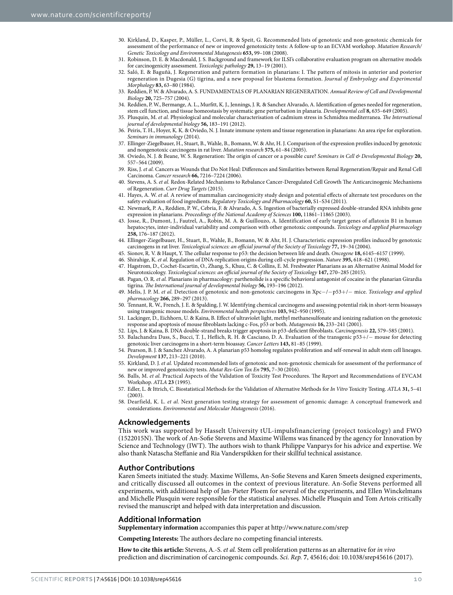- <span id="page-9-17"></span>30. Kirkland, D., Kasper, P., Müller, L., Corvi, R. & Speit, G. Recommended lists of genotoxic and non-genotoxic chemicals for assessment of the performance of new or improved genotoxicity tests: A follow-up to an ECVAM workshop. *Mutation Research/ Genetic Toxicology and Environmental Mutagenesis* **653,** 99–108 (2008).
- 31. Robinson, D. E. & Macdonald, J. S. Background and framework for ILSI's collaborative evaluation program on alternative models for carcinogenicity assessment. *Toxicologic pathology* **29,** 13–19 (2001).
- <span id="page-9-0"></span>32. Saló, E. & Baguñà, J. Regeneration and pattern formation in planarians: I. The pattern of mitosis in anterior and posterior regeneration in Dugesia (G) tigrina, and a new proposal for blastema formation. *Journal of Embryology and Experimental Morphology* **83,** 63–80 (1984).
- <span id="page-9-1"></span>33. Reddien, P. W. & Alvarado, A. S. FUNDAMENTALS OF PLANARIAN REGENERATION. *Annual Review of Cell and Developmental Biology* **20,** 725–757 (2004).
- <span id="page-9-2"></span>34. Reddien, P. W., Bermange, A. L., Murfitt, K. J., Jennings, J. R. & Sanchez Alvarado, A. Identification of genes needed for regeneration, stem cell function, and tissue homeostasis by systematic gene perturbation in planaria. *Developmental cell* **8,** 635–649 (2005).
- <span id="page-9-3"></span>35. Plusquin, M. *et al.* Physiological and molecular characterisation of cadmium stress in Schmidtea mediterranea. *The International journal of developmental biology* **56,** 183–191 (2012).
- <span id="page-9-4"></span>36. Peiris, T. H., Hoyer, K. K. & Oviedo, N. J. Innate immune system and tissue regeneration in planarians: An area ripe for exploration. *Seminars in immunology* (2014).
- <span id="page-9-5"></span>37. Ellinger-Ziegelbauer, H., Stuart, B., Wahle, B., Bomann, W. & Ahr, H. J. Comparison of the expression profiles induced by genotoxic and nongenotoxic carcinogens in rat liver. *Mutation research* **575,** 61–84 (2005).
- <span id="page-9-6"></span>38. Oviedo, N. J. & Beane, W. S. Regeneration: The origin of cancer or a possible cure? *Seminars in Cell & Developmental Biology* **20,** 557–564 (2009).
- 39. Riss, J. *et al.* Cancers as Wounds that Do Not Heal: Differences and Similarities between Renal Regeneration/Repair and Renal Cell Carcinoma. *Cancer research* **66,** 7216–7224 (2006).
- 40. Stevens, A. S. *et al.* Redox-Related Mechanisms to Rebalance Cancer-Deregulated Cell Growth The Anticarcinogenic Mechanisms of Regeneration. *Curr Drug Targets* (2015).
- <span id="page-9-7"></span>41. Hayes, A. W. *et al.* A review of mammalian carcinogenicity study design and potential effects of alternate test procedures on the safety evaluation of food ingredients. *Regulatory Toxicology and Pharmacology* **60,** S1–S34 (2011).
- <span id="page-9-8"></span>42. Newmark, P. A., Reddien, P. W., Cebria, F. & Alvarado, A. S. Ingestion of bacterially expressed double-stranded RNA inhibits gene expression in planarians. *Proceedings of the National Academy of Sciences* **100,** 11861–11865 (2003).
- <span id="page-9-9"></span>43. Josse, R., Dumont, J., Fautrel, A., Robin, M. A. & Guillouzo, A. Identification of early target genes of aflatoxin B1 in human hepatocytes, inter-individual variability and comparison with other genotoxic compounds. *Toxicology and applied pharmacology* **258,** 176–187 (2012).
- 44. Ellinger-Ziegelbauer, H., Stuart, B., Wahle, B., Bomann, W. & Ahr, H. J. Characteristic expression profiles induced by genotoxic carcinogens in rat liver. *Toxicological sciences: an official journal of the Society of Toxicology* **77,** 19–34 (2004).
- 45. Sionov, R. V. & Haupt, Y. The cellular response to p53: the decision between life and death. *Oncogene* **18,** 6145–6157 (1999).
- 46. Shirahige, K. *et al.* Regulation of DNA-replication origins during cell-cycle progression. *Nature* **395,** 618–621 (1998).
- <span id="page-9-10"></span>47. Hagstrom, D., Cochet-Escartin, O., Zhang, S., Khuu, C. & Collins, E. M. Freshwater Planarians as an Alternative Animal Model for Neurotoxicology. *Toxicological sciences: an official journal of the Society of Toxicology* **147,** 270–285 (2015).
- <span id="page-9-11"></span>48. Pagan, O. R. *et al.* Planarians in pharmacology: parthenolide is a specific behavioral antagonist of cocaine in the planarian Girardia tigrina. *The International journal of developmental biology* **56,** 193–196 (2012).
- <span id="page-9-12"></span>49. Melis, J. P. M. *et al.* Detection of genotoxic and non-genotoxic carcinogens in Xpc−/−p53+/− mice. *Toxicology and applied pharmacology* **266,** 289–297 (2013).
- <span id="page-9-13"></span>50. Tennant, R. W., French, J. E. & Spalding, J. W. Identifying chemical carcinogens and assessing potential risk in short-term bioassays using transgenic mouse models. *Environmental health perspectives* **103,** 942–950 (1995).
- <span id="page-9-14"></span>51. Lackinger, D., Eichhorn, U. & Kaina, B. Effect of ultraviolet light, methyl methanesulfonate and ionizing radiation on the genotoxic response and apoptosis of mouse fibroblasts lacking c-Fos, p53 or both. *Mutagenesis* **16,** 233–241 (2001).
- 52. Lips, J. & Kaina, B. DNA double-strand breaks trigger apoptosis in p53-deficient fibroblasts. *Carcinogenesis* **22,** 579–585 (2001).
- 53. Balachandra Dass, S., Bucci, T. J., Heflich, R. H. & Casciano, D. A. Evaluation of the transgenic p53+/− mouse for detecting genotoxic liver carcinogens in a short-term bioassay. *Cancer Letters* **143,** 81–85 (1999).
- <span id="page-9-15"></span>54. Pearson, B. J. & Sanchez Alvarado, A. A planarian p53 homolog regulates proliferation and self-renewal in adult stem cell lineages. *Development* **137,** 213–221 (2010).
- <span id="page-9-16"></span>55. Kirkland, D. J. *et al.* Updated recommended lists of genotoxic and non-genotoxic chemicals for assessment of the performance of new or improved genotoxicity tests. *Mutat Res-Gen Tox En* **795,** 7–30 (2016).
- <span id="page-9-18"></span>56. Balls, M. *et al.* Practical Aspects of the Validation of Toxicity Test Procedures. The Report and Recommendations of EVCAM Workshop. *ATLA* **23** (1995).
- 57. Edler, L. & Ittrich, C. Biostatistical Methods for the Validation of Alternative Methods for *In Vitro* Toxicity Testing. *ATLA* **31,** 5–41  $(2003)$
- 58. Dearfield, K. L. *et al.* Next generation testing strategy for assessment of genomic damage: A conceptual framework and considerations. *Environmental and Molecular Mutagenesis* (2016).

### **Acknowledgements**

This work was supported by Hasselt University tUL-impulsfinanciering (project toxicology) and FWO (1522015N). The work of An-Sofie Stevens and Maxime Willems was financed by the agency for Innovation by Science and Technology (IWT). The authors wish to thank Philippe Vanparys for his advice and expertise. We also thank Natascha Steffanie and Ria Vanderspikken for their skillful technical assistance.

### **Author Contributions**

Karen Smeets initiated the study. Maxime Willems, An-Sofie Stevens and Karen Smeets designed experiments, and critically discussed all outcomes in the context of previous literature. An-Sofie Stevens performed all experiments, with additional help of Jan-Pieter Ploem for several of the experiments, and Ellen Winckelmans and Michelle Plusquin were responsible for the statistical analyses. Michelle Plusquin and Tom Artois critically revised the manuscript and helped with data interpretation and discussion.

### **Additional Information**

**Supplementary information** accompanies this paper at <http://www.nature.com/srep>

**Competing Interests:** The authors declare no competing financial interests.

**How to cite this article:** Stevens, A.-S. *et al.* Stem cell proliferation patterns as an alternative for *in vivo* prediction and discrimination of carcinogenic compounds. *Sci. Rep.* **7**, 45616; doi: 10.1038/srep45616 (2017).